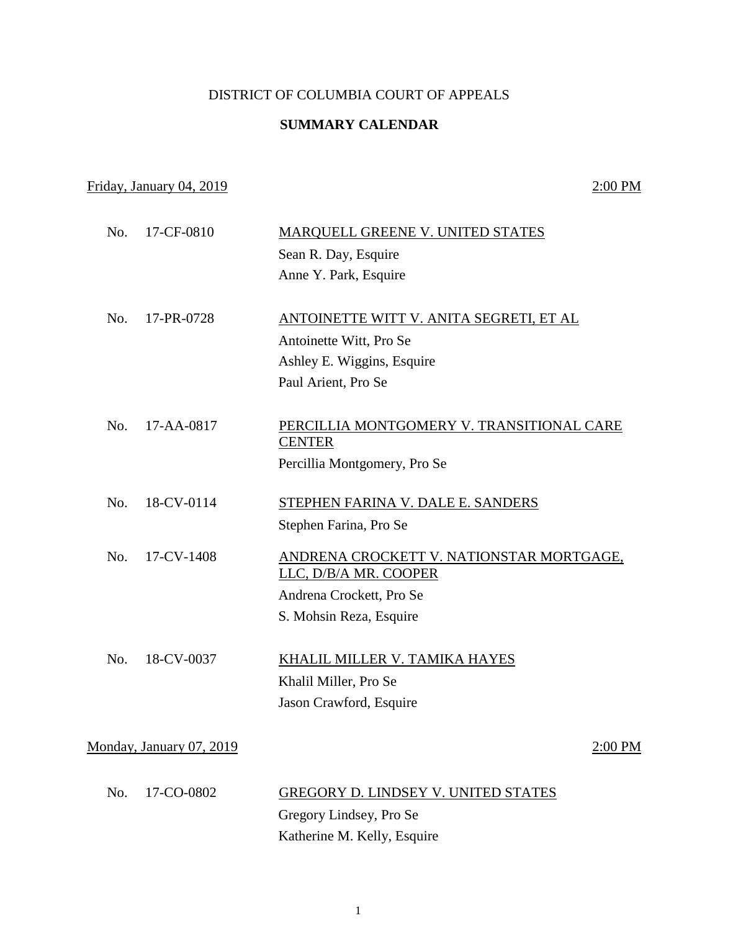## DISTRICT OF COLUMBIA COURT OF APPEALS

## **SUMMARY CALENDAR**

## Friday, January 04, 2019 2:00 PM

| No. | 17-CF-0810               | <b>MARQUELL GREENE V. UNITED STATES</b>                    |         |
|-----|--------------------------|------------------------------------------------------------|---------|
|     |                          | Sean R. Day, Esquire                                       |         |
|     |                          | Anne Y. Park, Esquire                                      |         |
| No. | 17-PR-0728               | ANTOINETTE WITT V. ANITA SEGRETI, ET AL                    |         |
|     |                          | Antoinette Witt, Pro Se                                    |         |
|     |                          | Ashley E. Wiggins, Esquire                                 |         |
|     |                          | Paul Arient, Pro Se                                        |         |
| No. | 17-AA-0817               | PERCILLIA MONTGOMERY V. TRANSITIONAL CARE<br><b>CENTER</b> |         |
|     |                          | Percillia Montgomery, Pro Se                               |         |
| No. | 18-CV-0114               | STEPHEN FARINA V. DALE E. SANDERS                          |         |
|     |                          | Stephen Farina, Pro Se                                     |         |
| No. | 17-CV-1408               | ANDRENA CROCKETT V. NATIONSTAR MORTGAGE,                   |         |
|     |                          | LLC, D/B/A MR. COOPER                                      |         |
|     |                          | Andrena Crockett, Pro Se                                   |         |
|     |                          | S. Mohsin Reza, Esquire                                    |         |
| No. | 18-CV-0037               | KHALIL MILLER V. TAMIKA HAYES                              |         |
|     |                          | Khalil Miller, Pro Se                                      |         |
|     |                          | Jason Crawford, Esquire                                    |         |
|     | Monday, January 07, 2019 |                                                            | 2:00 PM |
| No. | 17-CO-0802               | GREGORY D. LINDSEY V. UNITED STATES                        |         |
|     |                          | Gregory Lindsey, Pro Se                                    |         |

Katherine M. Kelly, Esquire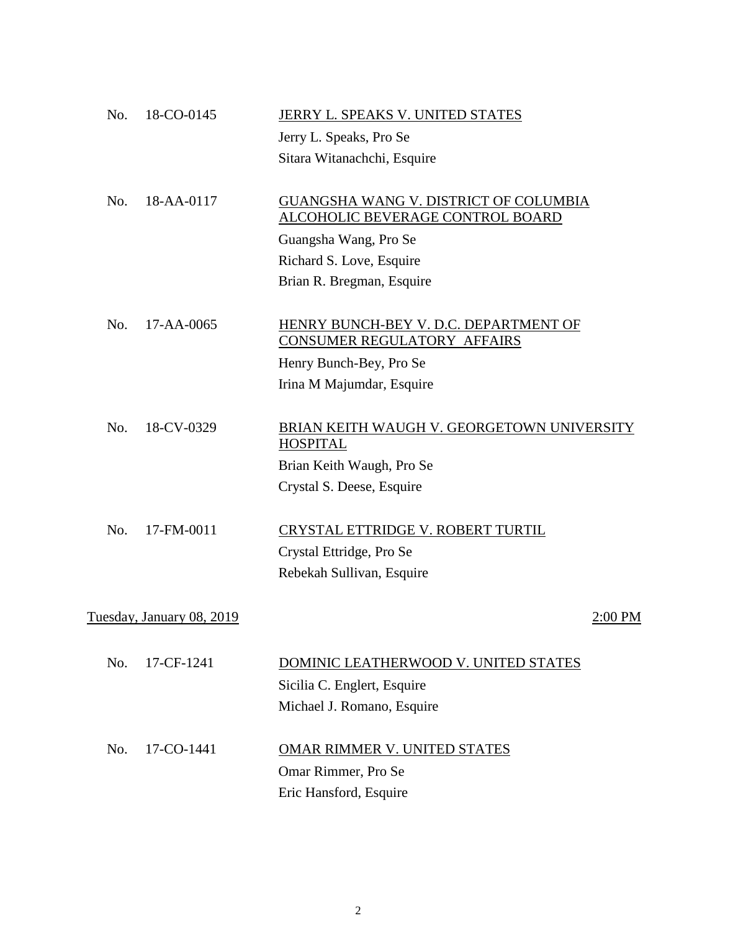| No. | 18-CO-0145                       | JERRY L. SPEAKS V. UNITED STATES           |           |
|-----|----------------------------------|--------------------------------------------|-----------|
|     |                                  | Jerry L. Speaks, Pro Se                    |           |
|     |                                  | Sitara Witanachchi, Esquire                |           |
|     |                                  |                                            |           |
| No. | 18-AA-0117                       | GUANGSHA WANG V. DISTRICT OF COLUMBIA      |           |
|     |                                  | <u>ALCOHOLIC BEVERAGE CONTROL BOARD</u>    |           |
|     |                                  | Guangsha Wang, Pro Se                      |           |
|     |                                  | Richard S. Love, Esquire                   |           |
|     |                                  | Brian R. Bregman, Esquire                  |           |
|     |                                  |                                            |           |
| No. | 17-AA-0065                       | HENRY BUNCH-BEY V. D.C. DEPARTMENT OF      |           |
|     |                                  | CONSUMER REGULATORY AFFAIRS                |           |
|     |                                  | Henry Bunch-Bey, Pro Se                    |           |
|     |                                  | Irina M Majumdar, Esquire                  |           |
|     |                                  |                                            |           |
| No. | 18-CV-0329                       | BRIAN KEITH WAUGH V. GEORGETOWN UNIVERSITY |           |
|     |                                  | <b>HOSPITAL</b>                            |           |
|     |                                  | Brian Keith Waugh, Pro Se                  |           |
|     |                                  | Crystal S. Deese, Esquire                  |           |
|     |                                  |                                            |           |
| No. | 17-FM-0011                       | CRYSTAL ETTRIDGE V. ROBERT TURTIL          |           |
|     |                                  | Crystal Ettridge, Pro Se                   |           |
|     |                                  | Rebekah Sullivan, Esquire                  |           |
|     |                                  |                                            |           |
|     | <u>Tuesday, January 08, 2019</u> |                                            | $2:00$ PM |
|     |                                  |                                            |           |
| No. | 17-CF-1241                       | DOMINIC LEATHERWOOD V. UNITED STATES       |           |
|     |                                  | Sicilia C. Englert, Esquire                |           |
|     |                                  | Michael J. Romano, Esquire                 |           |
|     |                                  |                                            |           |
| No. | 17-CO-1441                       | <b>OMAR RIMMER V. UNITED STATES</b>        |           |
|     |                                  | Omar Rimmer, Pro Se                        |           |
|     |                                  | Eric Hansford, Esquire                     |           |
|     |                                  |                                            |           |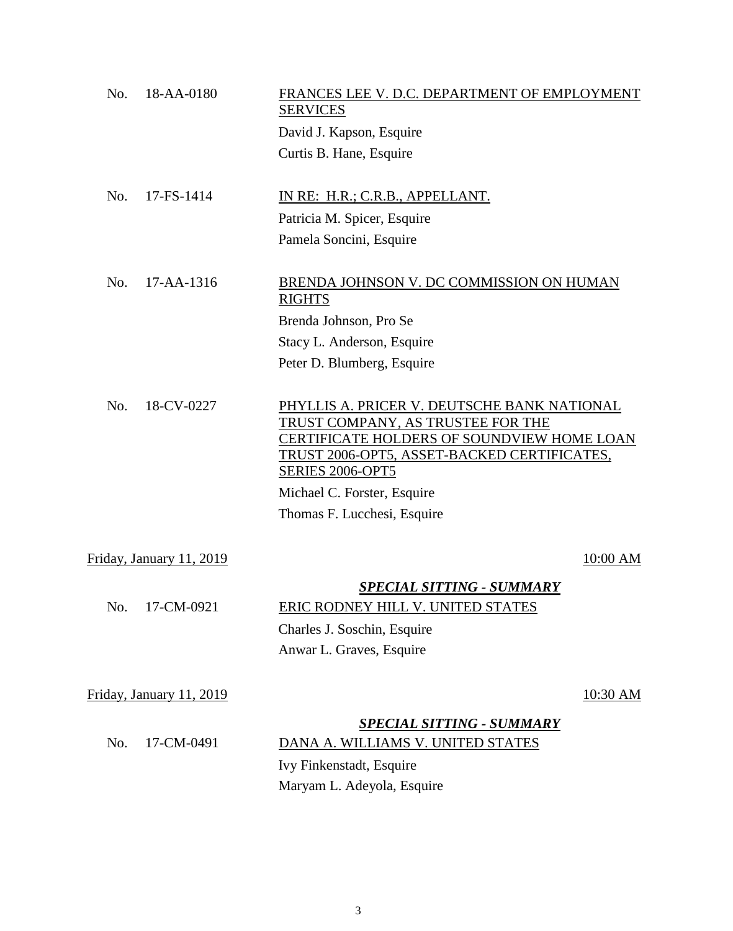| No. | 18-AA-0180               | FRANCES LEE V. D.C. DEPARTMENT OF EMPLOYMENT<br><b>SERVICES</b>                                                                                                                                          |                 |
|-----|--------------------------|----------------------------------------------------------------------------------------------------------------------------------------------------------------------------------------------------------|-----------------|
|     |                          | David J. Kapson, Esquire                                                                                                                                                                                 |                 |
|     |                          | Curtis B. Hane, Esquire                                                                                                                                                                                  |                 |
| No. | 17-FS-1414               | IN RE: H.R.; C.R.B., APPELLANT.                                                                                                                                                                          |                 |
|     |                          | Patricia M. Spicer, Esquire                                                                                                                                                                              |                 |
|     |                          | Pamela Soncini, Esquire                                                                                                                                                                                  |                 |
| No. | $17 - AA - 1316$         | BRENDA JOHNSON V. DC COMMISSION ON HUMAN<br><b>RIGHTS</b>                                                                                                                                                |                 |
|     |                          | Brenda Johnson, Pro Se                                                                                                                                                                                   |                 |
|     |                          | Stacy L. Anderson, Esquire                                                                                                                                                                               |                 |
|     |                          | Peter D. Blumberg, Esquire                                                                                                                                                                               |                 |
| No. | 18-CV-0227               | PHYLLIS A. PRICER V. DEUTSCHE BANK NATIONAL<br>TRUST COMPANY, AS TRUSTEE FOR THE<br>CERTIFICATE HOLDERS OF SOUNDVIEW HOME LOAN<br>TRUST 2006-OPT5, ASSET-BACKED CERTIFICATES,<br><b>SERIES 2006-OPT5</b> |                 |
|     |                          | Michael C. Forster, Esquire                                                                                                                                                                              |                 |
|     |                          | Thomas F. Lucchesi, Esquire                                                                                                                                                                              |                 |
|     | Friday, January 11, 2019 |                                                                                                                                                                                                          | $10:00$ AM      |
| No. | 17-CM-0921               | <b>SPECIAL SITTING - SUMMARY</b><br>ERIC RODNEY HILL V. UNITED STATES<br>Charles J. Soschin, Esquire<br>Anwar L. Graves, Esquire                                                                         |                 |
|     | Friday, January 11, 2019 |                                                                                                                                                                                                          | <u>10:30 AM</u> |
|     |                          | <b>SPECIAL SITTING - SUMMARY</b>                                                                                                                                                                         |                 |
| No. | 17-CM-0491               | DANA A. WILLIAMS V. UNITED STATES                                                                                                                                                                        |                 |
|     |                          | Ivy Finkenstadt, Esquire                                                                                                                                                                                 |                 |
|     |                          | Maryam L. Adeyola, Esquire                                                                                                                                                                               |                 |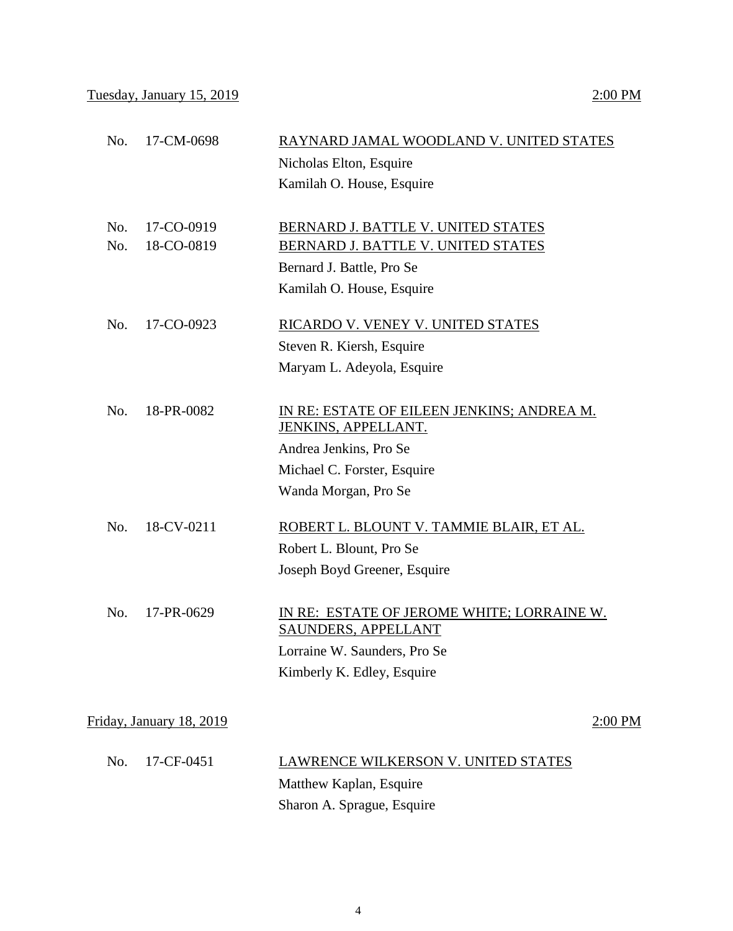Tuesday, January 15, 2019 2:00 PM

|            |                          | Nicholas Elton, Esquire<br>Kamilah O. House, Esquire                                                                                               |
|------------|--------------------------|----------------------------------------------------------------------------------------------------------------------------------------------------|
| No.<br>No. | 17-CO-0919<br>18-CO-0819 | BERNARD J. BATTLE V. UNITED STATES<br>BERNARD J. BATTLE V. UNITED STATES<br>Bernard J. Battle, Pro Se<br>Kamilah O. House, Esquire                 |
| No.        | 17-CO-0923               | RICARDO V. VENEY V. UNITED STATES<br>Steven R. Kiersh, Esquire<br>Maryam L. Adeyola, Esquire                                                       |
| No.        | 18-PR-0082               | IN RE: ESTATE OF EILEEN JENKINS; ANDREA M.<br>JENKINS, APPELLANT.<br>Andrea Jenkins, Pro Se<br>Michael C. Forster, Esquire<br>Wanda Morgan, Pro Se |
| No.        | 18-CV-0211               | ROBERT L. BLOUNT V. TAMMIE BLAIR, ET AL.<br>Robert L. Blount, Pro Se<br>Joseph Boyd Greener, Esquire                                               |
| No.        | 17-PR-0629               | IN RE: ESTATE OF JEROME WHITE; LORRAINE W.<br><b>SAUNDERS, APPELLANT</b><br>Lorraine W. Saunders, Pro Se<br>Kimberly K. Edley, Esquire             |
|            | Friday, January 18, 2019 | 2:00 PM                                                                                                                                            |
| No.        | 17-CF-0451               | <b>LAWRENCE WILKERSON V. UNITED STATES</b><br>Matthew Kaplan, Esquire<br>Sharon A. Sprague, Esquire                                                |

No. 17-CM-0698 RAYNARD JAMAL WOODLAND V. UNITED STATES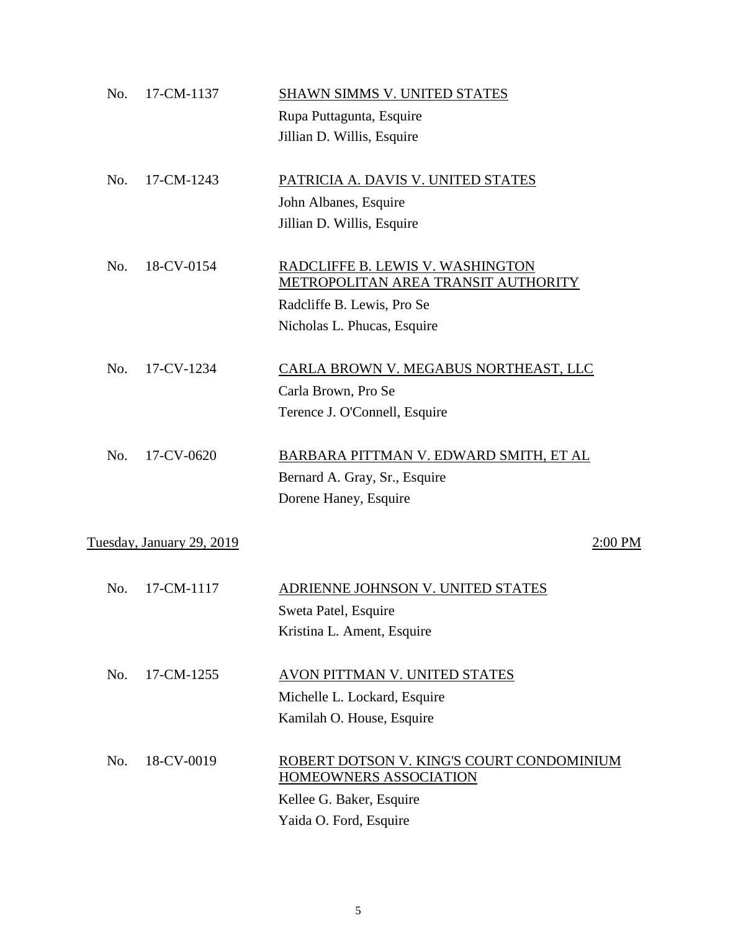| No. | 17-CM-1137                | <b>SHAWN SIMMS V. UNITED STATES</b>       |
|-----|---------------------------|-------------------------------------------|
|     |                           | Rupa Puttagunta, Esquire                  |
|     |                           | Jillian D. Willis, Esquire                |
| No. | 17-CM-1243                | PATRICIA A. DAVIS V. UNITED STATES        |
|     |                           | John Albanes, Esquire                     |
|     |                           | Jillian D. Willis, Esquire                |
| No. | 18-CV-0154                | RADCLIFFE B. LEWIS V. WASHINGTON          |
|     |                           | METROPOLITAN AREA TRANSIT AUTHORITY       |
|     |                           | Radcliffe B. Lewis, Pro Se                |
|     |                           | Nicholas L. Phucas, Esquire               |
| No. | 17-CV-1234                | CARLA BROWN V. MEGABUS NORTHEAST, LLC     |
|     |                           | Carla Brown, Pro Se                       |
|     |                           | Terence J. O'Connell, Esquire             |
| No. | 17-CV-0620                | BARBARA PITTMAN V. EDWARD SMITH, ET AL    |
|     |                           | Bernard A. Gray, Sr., Esquire             |
|     |                           | Dorene Haney, Esquire                     |
|     | Tuesday, January 29, 2019 | 2:00 PM                                   |
| No. | 17-CM-1117                | ADRIENNE JOHNSON V. UNITED STATES         |
|     |                           | Sweta Patel, Esquire                      |
|     |                           | Kristina L. Ament, Esquire                |
| No. | 17-CM-1255                | AVON PITTMAN V. UNITED STATES             |
|     |                           | Michelle L. Lockard, Esquire              |
|     |                           | Kamilah O. House, Esquire                 |
| No. | 18-CV-0019                | ROBERT DOTSON V. KING'S COURT CONDOMINIUM |
|     |                           | <b>HOMEOWNERS ASSOCIATION</b>             |
|     |                           | Kellee G. Baker, Esquire                  |
|     |                           | Yaida O. Ford, Esquire                    |